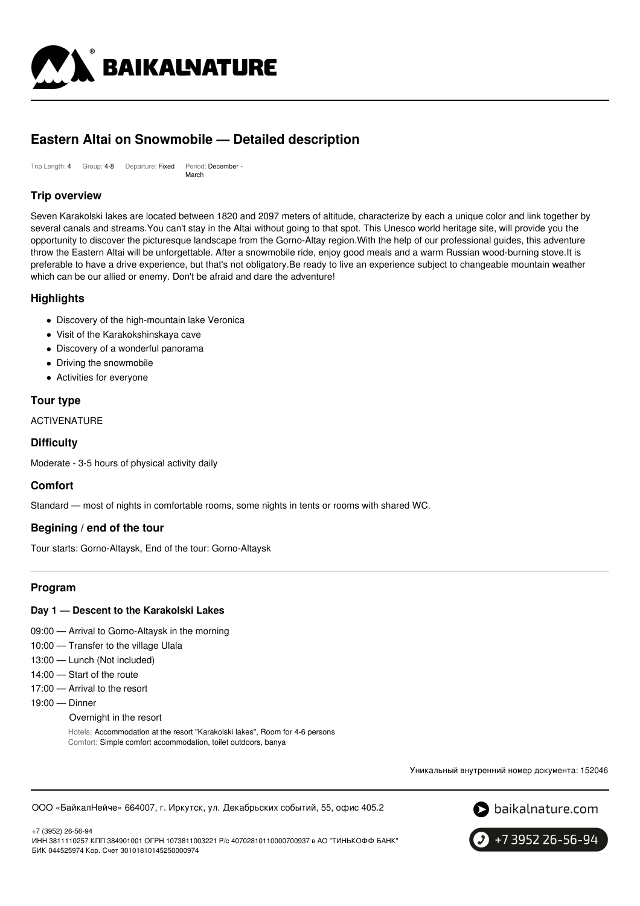

# **Eastern Altai on Snowmobile — Detailed description**

Trip Length: 4 Group: 4-8 Departure: Fixed Period: December - March

## **Trip overview**

Seven Karakolski lakes are located between 1820 and 2097 meters of altitude, characterize by each a unique color and link together by several canals and streams.You can't stay in the Altai without going to that spot. This Unesco world heritage site, will provide you the opportunity to discover the picturesque landscape from the Gorno-Altay region.With the help of our professional guides, this adventure throw the Eastern Altai will be unforgettable. After a snowmobile ride, enjoy good meals and a warm Russian wood-burning stove.It is preferable to have a drive experience, but that's not obligatory.Be ready to live an experience subject to changeable mountain weather which can be our allied or enemy. Don't be afraid and dare the adventure!

### **Highlights**

- Discovery of the high-mountain lake Veronica
- Visit of the Karakokshinskaya cave
- Discovery of a wonderful panorama
- Driving the snowmobile
- Activities for everyone

### **Tour type**

ACTIVENATURE

### **Difficulty**

Moderate - 3-5 hours of physical activity daily

### **Comfort**

Standard — most of nights in comfortable rooms, some nights in tents or rooms with shared WC.

### **Begining / end of the tour**

Tour starts: Gorno-Altaysk, End of the tour: Gorno-Altaysk

## **Program**

### **Day 1 — Descent to the Karakolski Lakes**

- 09:00 Arrival to Gorno-Altaysk in the morning
- 10:00 Transfer to the village Ulala
- 13:00 Lunch (Not included)
- 14:00 Start of the route
- 17:00 Arrival to the resort
- 19:00 Dinner
	- Overnight in the resort

Hotels: Accommodation at the resort "Karakolski lakes", Room for 4-6 persons Comfort: Simple comfort accommodation, toilet outdoors, banya

Уникальный внутренний номер документа: 152046





+7 (3952) 26-56-94 ИНН 3811110257 КПП 384901001 ОГРН 1073811003221 Р/с 40702810110000700937 в АО "ТИНЬКОФФ БАНК" БИК 044525974 Кор. Счет 30101810145250000974

+7 3952 26-56-94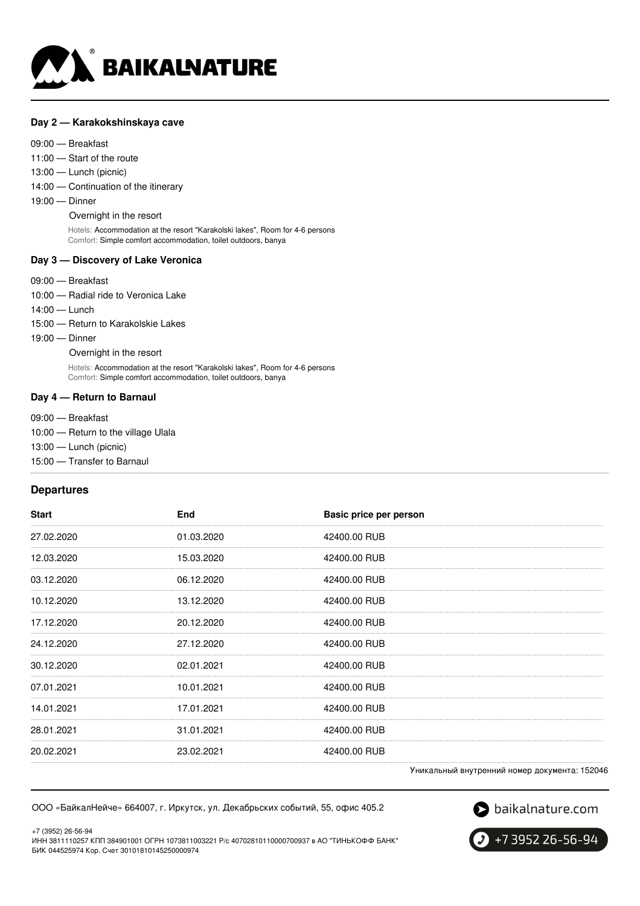

#### **Day 2 — Karakokshinskaya cave**

#### 09:00 — Breakfast

11:00 — Start of the route

- 13:00 Lunch (picnic)
- 14:00 Continuation of the itinerary
- 19:00 Dinner

Overnight in the resort

Hotels: Accommodation at the resort "Karakolski lakes", Room for 4-6 persons Comfort: Simple comfort accommodation, toilet outdoors, banya

#### **Day 3 — Discovery of Lake Veronica**

- 09:00 Breakfast
- 10:00 Radial ride to Veronica Lake
- 14:00 Lunch

15:00 — Return to Karakolskie Lakes

19:00 — Dinner

Overnight in the resort

Hotels: Accommodation at the resort "Karakolski lakes", Room for 4-6 persons Comfort: Simple comfort accommodation, toilet outdoors, banya

#### **Day 4 — Return to Barnaul**

09:00 — Breakfast

- 10:00 Return to the village Ulala
- 13:00 Lunch (picnic)
- 15:00 Transfer to Barnaul

### **Departures**

| <b>Start</b> | End        | Basic price per person                         |  |
|--------------|------------|------------------------------------------------|--|
| 27.02.2020   | 01.03.2020 | 42400.00 RUB                                   |  |
| 12.03.2020   | 15.03.2020 | 42400.00 RUB                                   |  |
| 03.12.2020   | 06.12.2020 | 42400.00 RUB                                   |  |
| 10.12.2020   | 13.12.2020 | 42400.00 RUB                                   |  |
| 17.12.2020   | 20.12.2020 | 42400.00 RUB                                   |  |
| 24.12.2020   | 27.12.2020 | 42400.00 RUB                                   |  |
| 30.12.2020   | 02.01.2021 | 42400.00 RUB                                   |  |
| 07.01.2021   | 10.01.2021 | 42400.00 RUB                                   |  |
| 14.01.2021   | 17.01.2021 | 42400.00 RUB                                   |  |
| 28.01.2021   | 31.01.2021 | 42400.00 RUB                                   |  |
| 20.02.2021   | 23.02.2021 | 42400.00 RUB                                   |  |
|              |            | Vinezonu už purtnouviš uorion normeuto: 150046 |  |

Уникальный внутренний номер документа: 152046

ООО «БайкалНейче» 664007, г. Иркутск, ул. Декабрьских событий, 55, офис 405.2

baikalnature.com

+7 (3952) 26-56-94 ИНН 3811110257 КПП 384901001 ОГРН 1073811003221 Р/с 40702810110000700937 в АО "ТИНЬКОФФ БАНК" БИК 044525974 Кор. Счет 30101810145250000974

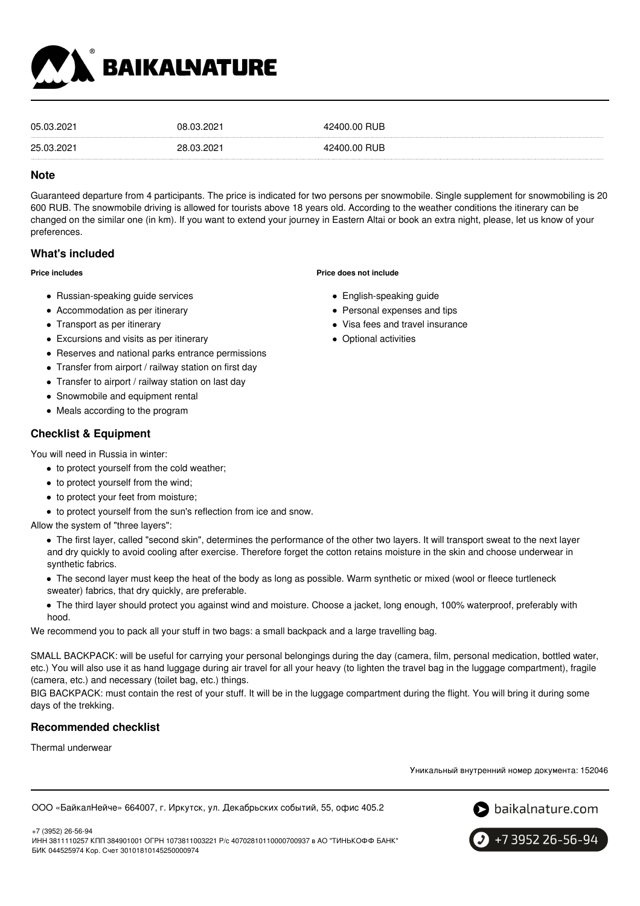

| 05.03.2021 | 08.03.2021 | 42400.00 RUB |
|------------|------------|--------------|
| 25.03.2021 | 28.03.2021 | 42400.00 RUB |

#### **Note**

Guaranteed departure from 4 participants. The price is indicated for two persons per snowmobile. Single supplement for snowmobiling is 20 600 RUB. The snowmobile driving is allowed for tourists above 18 years old. According to the weather conditions the itinerary can be changed on the similar one (in km). If you want to extend your journey in Eastern Altai or book an extra night, please, let us know of your preferences.

### **What's included**

#### **Price includes**

- Russian-speaking quide services
- Accommodation as per itinerary
- Transport as per itinerary
- Excursions and visits as per itinerary
- Reserves and national parks entrance permissions
- Transfer from airport / railway station on first day
- Transfer to airport / railway station on last day
- Snowmobile and equipment rental
- Meals according to the program

### **Checklist & Equipment**

You will need in Russia in winter:

- $\bullet$  to protect yourself from the cold weather;
- to protect yourself from the wind;
- to protect your feet from moisture;
- $\bullet$  to protect yourself from the sun's reflection from ice and snow.

Allow the system of "three layers":

- The first layer, called "second skin", determines the performance of the other two layers. It will transport sweat to the next layer and dry quickly to avoid cooling after exercise. Therefore forget the cotton retains moisture in the skin and choose underwear in synthetic fabrics.
- The second layer must keep the heat of the body as long as possible. Warm synthetic or mixed (wool or fleece turtleneck sweater) fabrics, that dry quickly, are preferable.
- The third layer should protect you against wind and moisture. Choose a jacket, long enough, 100% waterproof, preferably with hood.

We recommend you to pack all your stuff in two bags: a small backpack and a large travelling bag.

SMALL BACKPACK: will be useful for carrying your personal belongings during the day (camera, film, personal medication, bottled water, etc.) You will also use it as hand luggage during air travel for all your heavy (to lighten the travel bag in the luggage compartment), fragile (camera, etc.) and necessary (toilet bag, etc.) things.

BIG BACKPACK: must contain the rest of your stuff. It will be in the luggage compartment during the flight. You will bring it during some days of the trekking.

## **Recommended checklist**

Thermal underwear

Уникальный внутренний номер документа: 152046

ООО «БайкалНейче» 664007, г. Иркутск, ул. Декабрьских событий, 55, офис 405.2



+7 3952 26-56-94

- **Price does not include**
	- English-speaking guide
	- Personal expenses and tips
	- Visa fees and travel insurance
	- Optional activities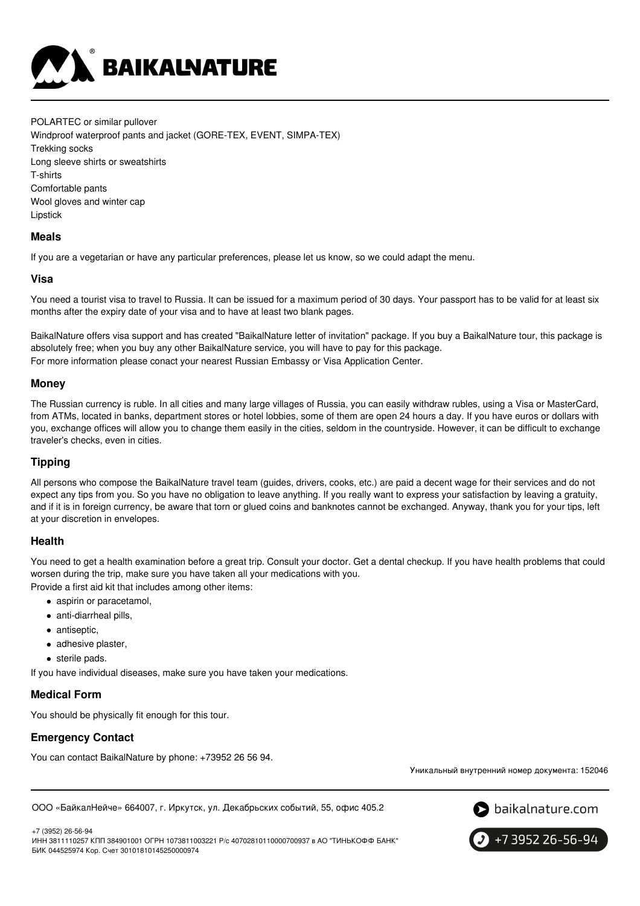

POLARTEC or similar pullover Windproof waterproof pants and jacket (GORE-TEX, EVENT, SIMPA-TEX) Trekking socks Long sleeve shirts or sweatshirts T-shirts Comfortable pants Wool gloves and winter cap Lipstick

### **Meals**

If you are a vegetarian or have any particular preferences, please let us know, so we could adapt the menu.

#### **Visa**

You need a tourist visa to travel to Russia. It can be issued for a maximum period of 30 days. Your passport has to be valid for at least six months after the expiry date of your visa and to have at least two blank pages.

BaikalNature offers visa support and has created "BaikalNature letter of invitation" package. If you buy a BaikalNature tour, this package is absolutely free; when you buy any other BaikalNature service, you will have to pay for this package. For more information please conact your nearest Russian Embassy or Visa Application Center.

#### **Money**

The Russian currency is ruble. In all cities and many large villages of Russia, you can easily withdraw rubles, using a Visa or MasterCard, from ATMs, located in banks, department stores or hotel lobbies, some of them are open 24 hours a day. If you have euros or dollars with you, exchange offices will allow you to change them easily in the cities, seldom in the countryside. However, it can be difficult to exchange traveler's checks, even in cities.

### **Tipping**

All persons who compose the BaikalNature travel team (guides, drivers, cooks, etc.) are paid a decent wage for their services and do not expect any tips from you. So you have no obligation to leave anything. If you really want to express your satisfaction by leaving a gratuity, and if it is in foreign currency, be aware that torn or glued coins and banknotes cannot be exchanged. Anyway, thank you for your tips, left at your discretion in envelopes.

### **Health**

You need to get a health examination before a great trip. Consult your doctor. Get a dental checkup. If you have health problems that could worsen during the trip, make sure you have taken all your medications with you.

Provide a first aid kit that includes among other items:

- aspirin or paracetamol,
- anti-diarrheal pills,
- antiseptic,
- adhesive plaster,
- sterile pads.

If you have individual diseases, make sure you have taken your medications.

### **Medical Form**

You should be physically fit enough for this tour.

### **Emergency Contact**

You can contact BaikalNature by phone: +73952 26 56 94.

Уникальный внутренний номер документа: 152046

```
ООО «БайкалНейче» 664007, г. Иркутск, ул. Декабрьских событий, 55, офис 405.2
```
+7 (3952) 26-56-94 ИНН 3811110257 КПП 384901001 ОГРН 1073811003221 Р/с 40702810110000700937 в АО "ТИНЬКОФФ БАНК" БИК 044525974 Кор. Счет 30101810145250000974